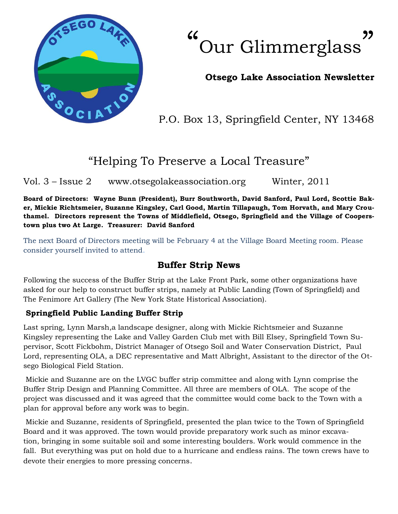

 $66$ Our Glimmerglass **"** 

### **Otsego Lake Association Newsletter**

P.O. Box 13, Springfield Center, NY 13468

# "Helping To Preserve a Local Treasure"

Vol. 3 – Issue 2 www.otsegolakeassociation.org Winter, 2011

**Board of Directors: Wayne Bunn (President), Burr Southworth, David Sanford, Paul Lord, Scottie Baker, Mickie Richtsmeier, Suzanne Kingsley, Carl Good, Martin Tillapaugh, Tom Horvath, and Mary Crouthamel. Directors represent the Towns of Middlefield, Otsego, Springfield and the Village of Cooperstown plus two At Large. Treasurer: David Sanford**

The next Board of Directors meeting will be February 4 at the Village Board Meeting room. Please consider yourself invited to attend.

## **Buffer Strip News**

Following the success of the Buffer Strip at the Lake Front Park, some other organizations have asked for our help to construct buffer strips, namely at Public Landing (Town of Springfield) and The Fenimore Art Gallery (The New York State Historical Association).

#### **Springfield Public Landing Buffer Strip**

Last spring, Lynn Marsh,a landscape designer, along with Mickie Richtsmeier and Suzanne Kingsley representing the Lake and Valley Garden Club met with Bill Elsey, Springfield Town Supervisor, Scott Fickbohm, District Manager of Otsego Soil and Water Conservation District, Paul Lord, representing OLA, a DEC representative and Matt Albright, Assistant to the director of the Otsego Biological Field Station.

Mickie and Suzanne are on the LVGC buffer strip committee and along with Lynn comprise the Buffer Strip Design and Planning Committee. All three are members of OLA. The scope of the project was discussed and it was agreed that the committee would come back to the Town with a plan for approval before any work was to begin.

Mickie and Suzanne, residents of Springfield, presented the plan twice to the Town of Springfield Board and it was approved. The town would provide preparatory work such as minor excavation, bringing in some suitable soil and some interesting boulders. Work would commence in the fall. But everything was put on hold due to a hurricane and endless rains. The town crews have to devote their energies to more pressing concerns.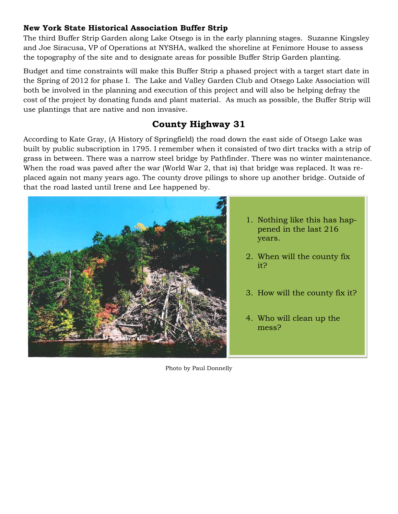#### **New York State Historical Association Buffer Strip**

The third Buffer Strip Garden along Lake Otsego is in the early planning stages. Suzanne Kingsley and Joe Siracusa, VP of Operations at NYSHA, walked the shoreline at Fenimore House to assess the topography of the site and to designate areas for possible Buffer Strip Garden planting.

Budget and time constraints will make this Buffer Strip a phased project with a target start date in the Spring of 2012 for phase I. The Lake and Valley Garden Club and Otsego Lake Association will both be involved in the planning and execution of this project and will also be helping defray the cost of the project by donating funds and plant material. As much as possible, the Buffer Strip will use plantings that are native and non invasive.

# **County Highway 31**

According to Kate Gray, (A History of Springfield) the road down the east side of Otsego Lake was built by public subscription in 1795. I remember when it consisted of two dirt tracks with a strip of grass in between. There was a narrow steel bridge by Pathfinder. There was no winter maintenance. When the road was paved after the war (World War 2, that is) that bridge was replaced. It was replaced again not many years ago. The county drove pilings to shore up another bridge. Outside of that the road lasted until Irene and Lee happened by.



- 1. Nothing like this has happened in the last 216 years.
- 2. When will the county fix it?
- 3. How will the county fix it?
- 4. Who will clean up the mess?

Photo by Paul Donnelly